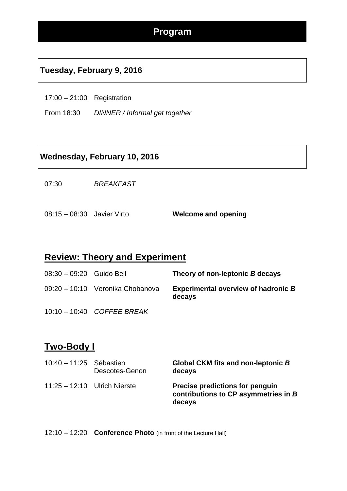#### **Tuesday, February 9, 2016**

- 17:00 21:00 Registration
- From 18:30 *DINNER / Informal get together*

#### **Wednesday, February 10, 2016**

07:30 *BREAKFAST*

08:15 – 08:30 Javier Virto **Welcome and opening**

#### **Review: Theory and Experiment**

| 08:30 - 09:20 Guido Bell |                                  | Theory of non-leptonic B decays                      |
|--------------------------|----------------------------------|------------------------------------------------------|
|                          | 09:20 - 10:10 Veronika Chobanova | <b>Experimental overview of hadronic B</b><br>decays |
|                          | 10:10 - 10:40 COFFEE BREAK       |                                                      |

#### **Two-Body I**

| 10:40 - 11:25 Sébastien        | Descotes-Genon | Global CKM fits and non-leptonic B<br>decays                                             |
|--------------------------------|----------------|------------------------------------------------------------------------------------------|
| $11:25 - 12:10$ Ulrich Nierste |                | <b>Precise predictions for penguin</b><br>contributions to CP asymmetries in B<br>decays |

12:10 – 12:20 **Conference Photo** (in front of the Lecture Hall)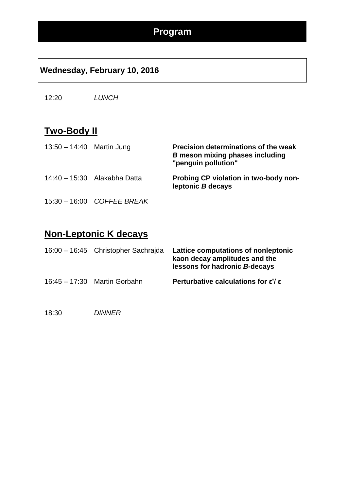## **Wednesday, February 10, 2016**

12:20 *LUNCH*

## **Two-Body II**

| $13:50 - 14:40$ Martin Jung |                              | Precision determinations of the weak<br><b>B</b> meson mixing phases including<br>"penguin pollution" |
|-----------------------------|------------------------------|-------------------------------------------------------------------------------------------------------|
|                             | 14:40 - 15:30 Alakabha Datta | Probing CP violation in two-body non-<br>leptonic B decays                                            |
|                             | 15:30 - 16:00 COFFEE BREAK   |                                                                                                       |

**Non-Leptonic K decays**

| 16:00 - 16:45 Christopher Sachrajda | Lattice computations of nonleptonic<br>kaon decay amplitudes and the<br>lessons for hadronic B-decays |
|-------------------------------------|-------------------------------------------------------------------------------------------------------|
| $16:45 - 17:30$ Martin Gorbahn      | Perturbative calculations for $\epsilon$ '/ $\epsilon$                                                |

18:30 *DINNER*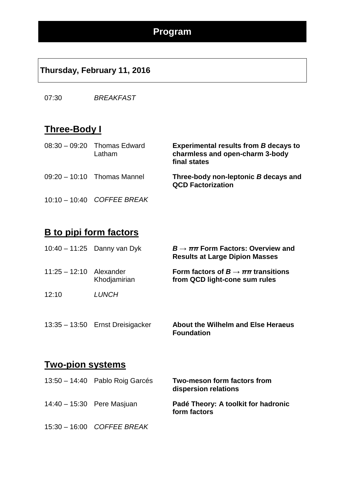#### **Thursday, February 11, 2016**

07:30 *BREAKFAST*

#### **Three-Body I**

| $08:30 - 09:20$ Thomas Edward<br>Latham | <b>Experimental results from B decays to</b><br>charmless and open-charm 3-body<br>final states |
|-----------------------------------------|-------------------------------------------------------------------------------------------------|
| $09:20 - 10:10$ Thomas Mannel           | Three-body non-leptonic B decays and<br><b>QCD Factorization</b>                                |

10:10 – 10:40 *COFFEE BREAK*

## **B to pipi form factors**

|                 | $10:40 - 11:25$ Danny van Dyk | $B\to\pi\pi$ Form Factors: Overview and<br><b>Results at Large Dipion Masses</b> |
|-----------------|-------------------------------|----------------------------------------------------------------------------------|
| $11:25 - 12:10$ | Alexander<br>Khodjamirian     | Form factors of $B \to \pi\pi$ transitions<br>from QCD light-cone sum rules      |
| 12:10           | <b>LUNCH</b>                  |                                                                                  |
|                 |                               |                                                                                  |

13:35 – 13:50 Ernst Dreisigacker **About the Wilhelm and Else Heraeus Foundation**

#### **Two-pion systems**

| 13:50 - 14:40 Pablo Roig Garcés | Two-meson form factors from<br>dispersion relations |
|---------------------------------|-----------------------------------------------------|
| 14:40 - 15:30 Pere Masjuan      | Padé Theory: A toolkit for hadronic<br>form factors |
| 15:30 - 16:00 COFFEE BREAK      |                                                     |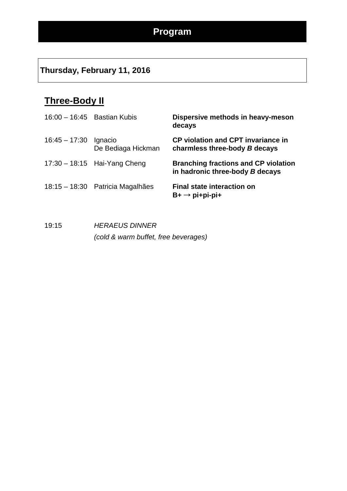## **Thursday, February 11, 2016**

# **Three-Body II**

| $16:00 - 16:45$ Bastian Kubis |                                  | Dispersive methods in heavy-meson<br>decays                                    |
|-------------------------------|----------------------------------|--------------------------------------------------------------------------------|
| $16:45 - 17:30$               | Ignacio<br>De Bediaga Hickman    | <b>CP violation and CPT invariance in</b><br>charmless three-body B decays     |
|                               | $17:30 - 18:15$ Hai-Yang Cheng   | <b>Branching fractions and CP violation</b><br>in hadronic three-body B decays |
|                               | 18:15 – 18:30 Patricia Magalhães | <b>Final state interaction on</b><br>$B+ \rightarrow$ pi+pi-pi+                |

19:15 *HERAEUS DINNER (cold & warm buffet, free beverages)*